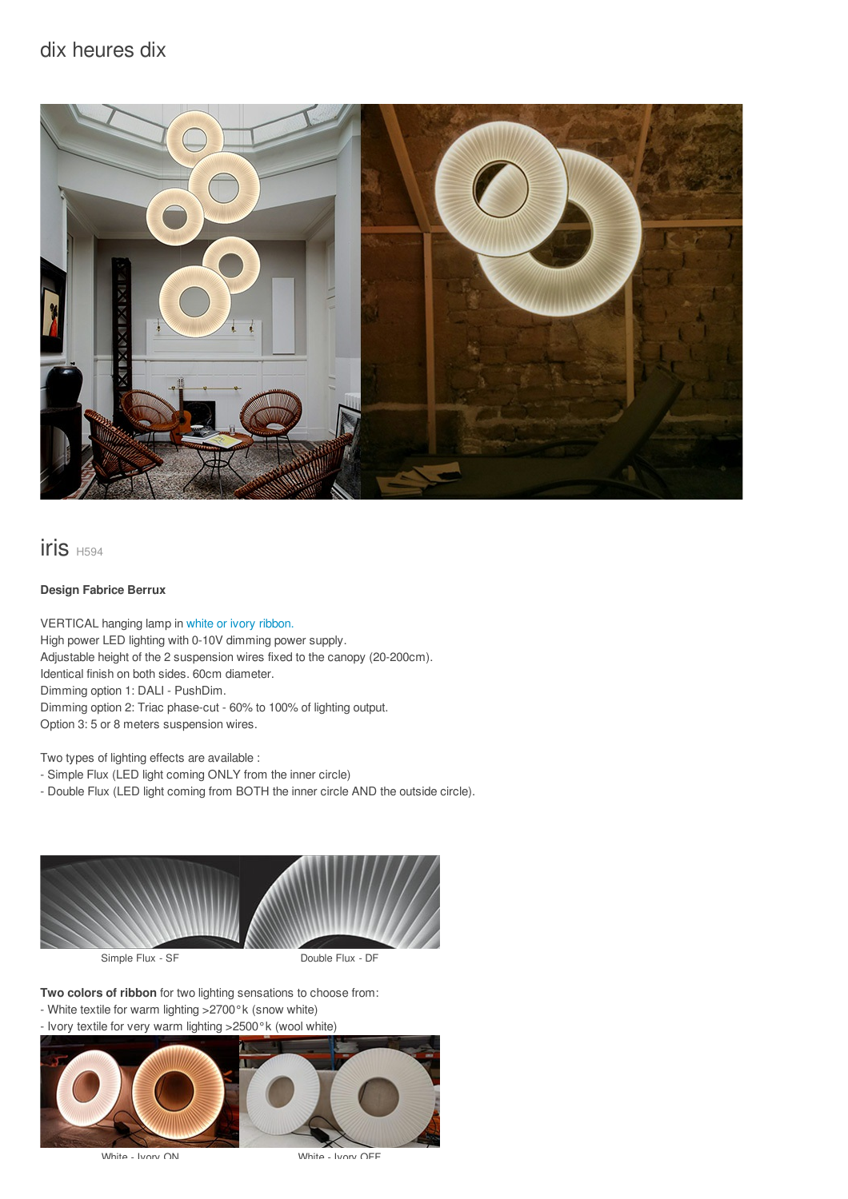## dix heures dix



## iris H594

### **Design Fabrice Berrux**

VERTICAL hanging lamp in white or ivory [ribbon.](/files/documents/compo/iris-blanc-ivoire.jpg) High power LED lighting with 0-10V dimming power supply. Adjustable height of the 2 suspension wires fixed to the canopy (20-200cm). Identical finish on both sides. 60cm diameter. Dimming option 1: DALI - PushDim. Dimming option 2: Triac phase-cut - 60% to 100% of lighting output. Option 3: 5 or 8 meters suspension wires.

Two types of lighting effects are available :

- Simple Flux (LED light coming ONLY from the inner circle)

- Double Flux (LED light coming from BOTH the inner circle AND the outside circle).



**Two colors of ribbon** for two lighting sensations to choose from:

- White textile for warm lighting >2700°k (snow white)
- Ivory textile for very warm lighting >2500°k (wool white)



White - Ivory ON White - Ivory OFF